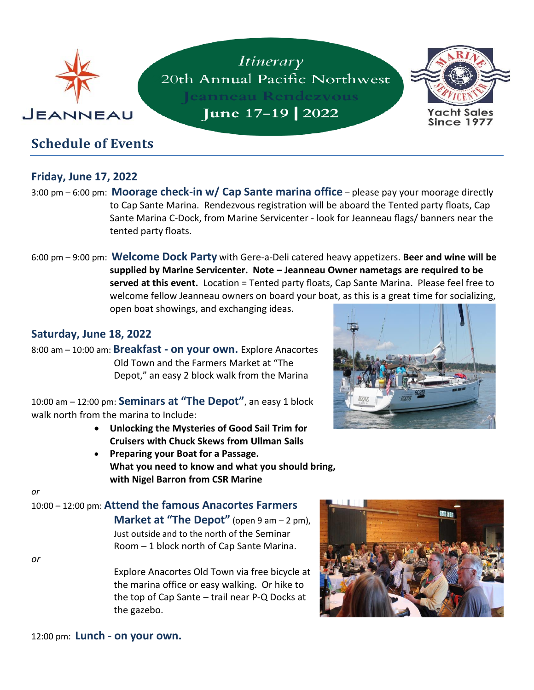

# **Friday, June 17, 2022**

- 3:00 pm 6:00 pm: **Moorage check-in w/ Cap Sante marina office** please pay your moorage directly to Cap Sante Marina. Rendezvous registration will be aboard the Tented party floats, Cap Sante Marina C-Dock, from Marine Servicenter - look for Jeanneau flags/ banners near the tented party floats.
- 6:00 pm 9:00 pm: **Welcome Dock Party** with Gere-a-Deli catered heavy appetizers. **Beer and wine will be supplied by Marine Servicenter. Note – Jeanneau Owner nametags are required to be served at this event.** Location = Tented party floats, Cap Sante Marina. Please feel free to welcome fellow Jeanneau owners on board your boat, as this is a great time for socializing, open boat showings, and exchanging ideas.

#### **Saturday, June 18, 2022**

8:00 am – 10:00 am: **Breakfast - on your own.** Explore Anacortes Old Town and the Farmers Market at "The Depot," an easy 2 block walk from the Marina

10:00 am – 12:00 pm: **Seminars at "The Depot"**, an easy 1 block walk north from the marina to Include:

- **Unlocking the Mysteries of Good Sail Trim for Cruisers with Chuck Skews from Ullman Sails**
- **Preparing your Boat for a Passage. What you need to know and what you should bring, with Nigel Barron from CSR Marine**



*or*

*or*

10:00 – 12:00 pm: **Attend the famous Anacortes Farmers Market at "The Depot"** (open 9 am – 2 pm), Just outside and to the north of the Seminar Room – 1 block north of Cap Sante Marina.

> Explore Anacortes Old Town via free bicycle at the marina office or easy walking. Or hike to the top of Cap Sante – trail near P-Q Docks at the gazebo.

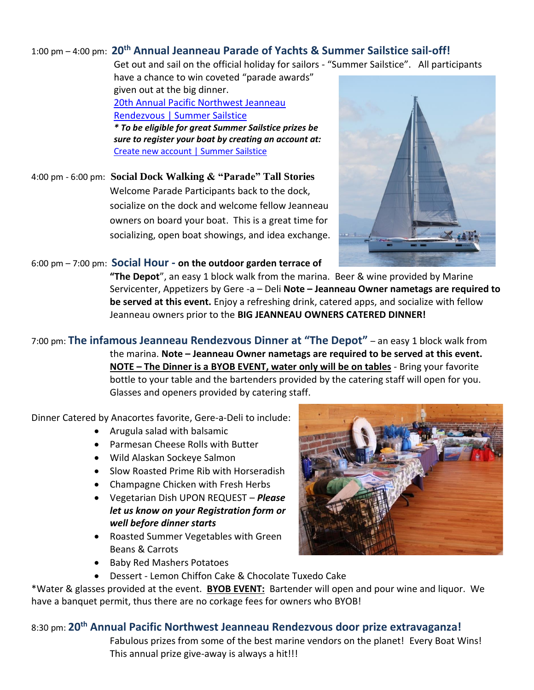### 1:00 pm – 4:00 pm: **20 th Annual Jeanneau Parade of Yachts & Summer Sailstice sail-off!**

Get out and sail on the official holiday for sailors - "Summer Sailstice". All participants

have a chance to win coveted "parade awards" given out at the big dinner. [20th Annual Pacific Northwest Jeanneau](https://summersailstice.com/event/20th-annual-pacific-northwest-jeanneau-rendezvous)  [Rendezvous | Summer Sailstice](https://summersailstice.com/event/20th-annual-pacific-northwest-jeanneau-rendezvous) *\* To be eligible for great Summer Sailstice prizes be sure to register your boat by creating an account at:*

[Create new account | Summer Sailstice](https://summersailstice.com/user/register)

4:00 pm - 6:00 pm: **Social Dock Walking & "Parade" Tall Stories** Welcome Parade Participants back to the dock, socialize on the dock and welcome fellow Jeanneau owners on board your boat. This is a great time for socializing, open boat showings, and idea exchange.



#### 6:00 pm – 7:00 pm: **Social Hour - on the outdoor garden terrace of**

**"The Depot**", an easy 1 block walk from the marina. Beer & wine provided by Marine Servicenter, Appetizers by Gere -a – Deli **Note – Jeanneau Owner nametags are required to be served at this event.** Enjoy a refreshing drink, catered apps, and socialize with fellow Jeanneau owners prior to the **BIG JEANNEAU OWNERS CATERED DINNER!** 

7:00 pm: **The infamous Jeanneau Rendezvous Dinner at "The Depot"** – an easy 1 block walk from the marina. **Note – Jeanneau Owner nametags are required to be served at this event. NOTE – The Dinner is a BYOB EVENT, water only will be on tables** - Bring your favorite bottle to your table and the bartenders provided by the catering staff will open for you. Glasses and openers provided by catering staff.

Dinner Catered by Anacortes favorite, Gere-a-Deli to include:

- Arugula salad with balsamic
- Parmesan Cheese Rolls with Butter
- Wild Alaskan Sockeye Salmon
- Slow Roasted Prime Rib with Horseradish
- Champagne Chicken with Fresh Herbs
- Vegetarian Dish UPON REQUEST *Please let us know on your Registration form or well before dinner starts*
- Roasted Summer Vegetables with Green Beans & Carrots



- Baby Red Mashers Potatoes
- Dessert Lemon Chiffon Cake & Chocolate Tuxedo Cake

\*Water & glasses provided at the event. **BYOB EVENT:** Bartender will open and pour wine and liquor. We have a banquet permit, thus there are no corkage fees for owners who BYOB!

### 8:30 pm: **20 th Annual Pacific Northwest Jeanneau Rendezvous door prize extravaganza!**

Fabulous prizes from some of the best marine vendors on the planet! Every Boat Wins! This annual prize give-away is always a hit!!!